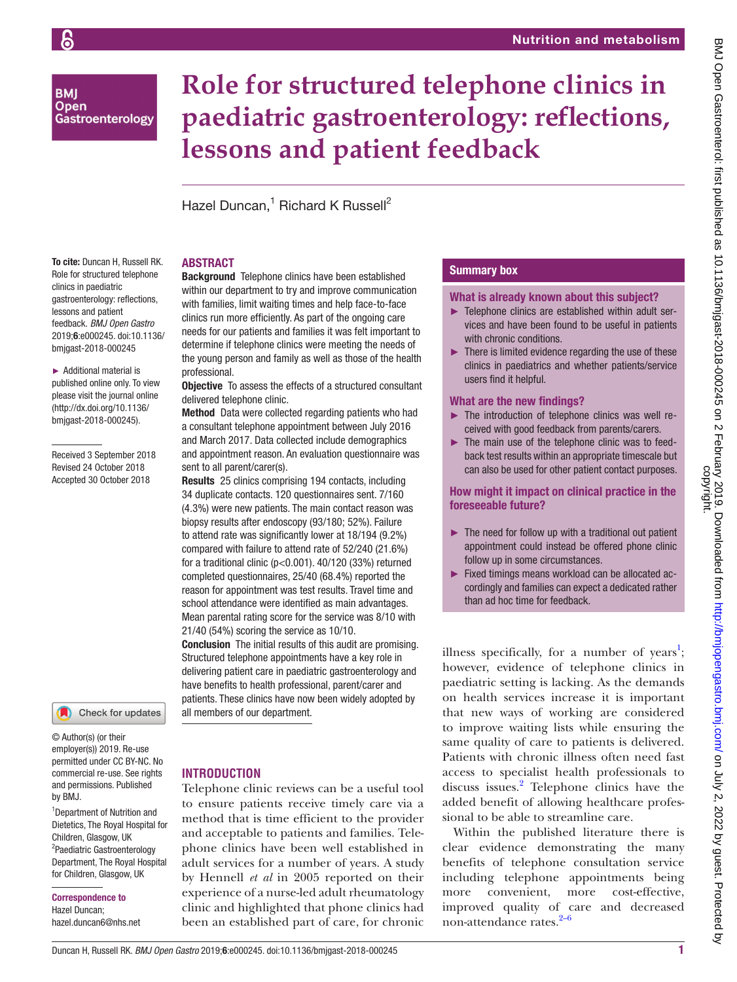**BMI Open** Gastroenterology

# **Role for structured telephone clinics in paediatric gastroenterology: reflections, lessons and patient feedback**

Hazel Duncan,<sup>1</sup> Richard K Russell<sup>2</sup>

# **ABSTRACT**

To cite: Duncan H, Russell RK. Role for structured telephone clinics in paediatric gastroenterology: reflections, lessons and patient feedback. *BMJ Open Gastro* 2019;6:e000245. doi:10.1136/ bmjgast-2018-000245

► Additional material is published online only. To view please visit the journal online ([http://dx.doi.org/10.1136/](http://dx.doi.org/10.1136/bmjgast-2018-000245) [bmjgast-2018-000245\)](http://dx.doi.org/10.1136/bmjgast-2018-000245).

Received 3 September 2018 Revised 24 October 2018 Accepted 30 October 2018

Check for updates

© Author(s) (or their employer(s)) 2019. Re-use permitted under CC BY-NC. No commercial re-use. See rights and permissions. Published by BMJ.

1 Department of Nutrition and Dietetics, The Royal Hospital for Children, Glasgow, UK 2 Paediatric Gastroenterology Department, The Royal Hospital for Children, Glasgow, UK

Correspondence to Hazel Duncan; hazel.duncan6@nhs.net Background Telephone clinics have been established within our department to try and improve communication with families, limit waiting times and help face-to-face clinics run more efficiently. As part of the ongoing care needs for our patients and families it was felt important to determine if telephone clinics were meeting the needs of the young person and family as well as those of the health professional.

**Objective** To assess the effects of a structured consultant delivered telephone clinic.

Method Data were collected regarding patients who had a consultant telephone appointment between July 2016 and March 2017. Data collected include demographics and appointment reason. An evaluation questionnaire was sent to all parent/carer(s).

Results 25 clinics comprising 194 contacts, including 34 duplicate contacts. 120 questionnaires sent. 7/160 (4.3%) were new patients. The main contact reason was biopsy results after endoscopy (93/180; 52%). Failure to attend rate was significantly lower at 18/194 (9.2%) compared with failure to attend rate of 52/240 (21.6%) for a traditional clinic (p<0.001). 40/120 (33%) returned completed questionnaires, 25/40 (68.4%) reported the reason for appointment was test results. Travel time and school attendance were identified as main advantages. Mean parental rating score for the service was 8/10 with 21/40 (54%) scoring the service as 10/10.

Conclusion The initial results of this audit are promising. Structured telephone appointments have a key role in delivering patient care in paediatric gastroenterology and have benefits to health professional, parent/carer and patients. These clinics have now been widely adopted by all members of our department.

# **Introduction**

Telephone clinic reviews can be a useful tool to ensure patients receive timely care via a method that is time efficient to the provider and acceptable to patients and families. Telephone clinics have been well established in adult services for a number of years. A study by Hennell *et al* in 2005 reported on their experience of a nurse-led adult rheumatology clinic and highlighted that phone clinics had been an established part of care, for chronic

# Summary box

#### What is already known about this subject?

- ► Telephone clinics are established within adult services and have been found to be useful in patients with chronic conditions.
- $\blacktriangleright$  There is limited evidence regarding the use of these clinics in paediatrics and whether patients/service users find it helpful.

# What are the new findings?

- ► The introduction of telephone clinics was well received with good feedback from parents/carers.
- $\blacktriangleright$  The main use of the telephone clinic was to feedback test results within an appropriate timescale but can also be used for other patient contact purposes.

How might it impact on clinical practice in the foreseeable future?

- $\blacktriangleright$  The need for follow up with a traditional out patient appointment could instead be offered phone clinic follow up in some circumstances.
- ► Fixed timings means workload can be allocated accordingly and families can expect a dedicated rather than ad hoc time for feedback.

illness specifically, for a number of years<sup>1</sup>; however, evidence of telephone clinics in paediatric setting is lacking. As the demands on health services increase it is important that new ways of working are considered to improve waiting lists while ensuring the same quality of care to patients is delivered. Patients with chronic illness often need fast access to specialist health professionals to discuss issues.<sup>[2](#page-4-1)</sup> Telephone clinics have the added benefit of allowing healthcare professional to be able to streamline care.

Within the published literature there is clear evidence demonstrating the many benefits of telephone consultation service including telephone appointments being more convenient, more cost-effective, improved quality of care and decreased non-attendance rates. $2-6$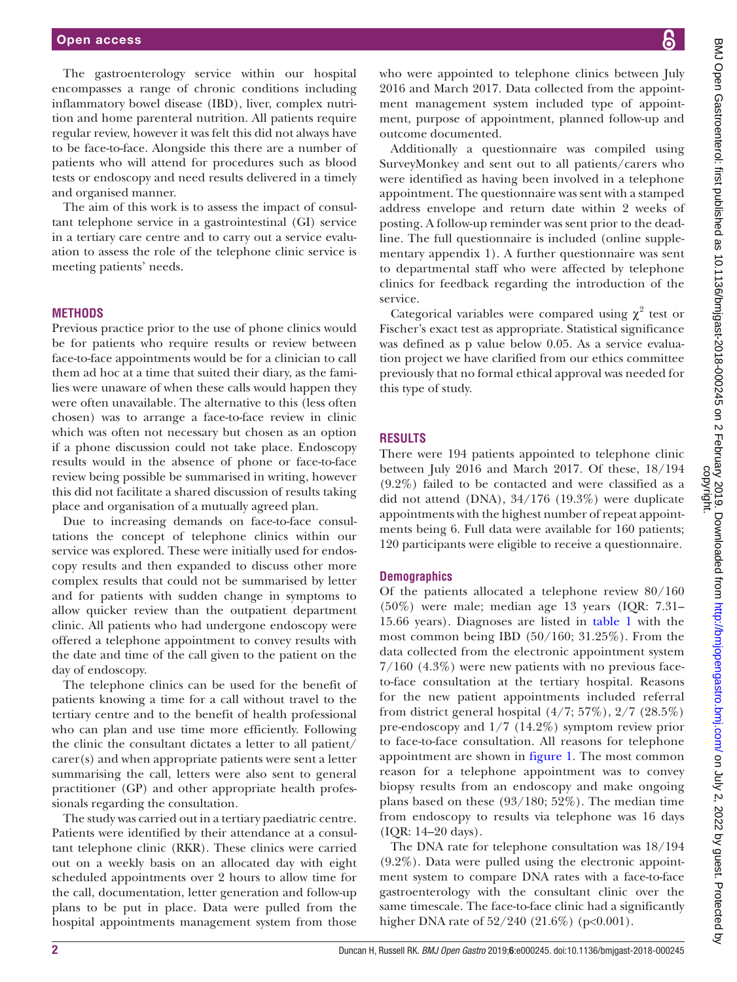The gastroenterology service within our hospital encompasses a range of chronic conditions including inflammatory bowel disease (IBD), liver, complex nutrition and home parenteral nutrition. All patients require regular review, however it was felt this did not always have to be face-to-face. Alongside this there are a number of patients who will attend for procedures such as blood tests or endoscopy and need results delivered in a timely and organised manner.

The aim of this work is to assess the impact of consultant telephone service in a gastrointestinal (GI) service in a tertiary care centre and to carry out a service evaluation to assess the role of the telephone clinic service is meeting patients' needs.

#### **Methods**

Previous practice prior to the use of phone clinics would be for patients who require results or review between face-to-face appointments would be for a clinician to call them ad hoc at a time that suited their diary, as the families were unaware of when these calls would happen they were often unavailable. The alternative to this (less often chosen) was to arrange a face-to-face review in clinic which was often not necessary but chosen as an option if a phone discussion could not take place. Endoscopy results would in the absence of phone or face-to-face review being possible be summarised in writing, however this did not facilitate a shared discussion of results taking place and organisation of a mutually agreed plan.

Due to increasing demands on face-to-face consultations the concept of telephone clinics within our service was explored. These were initially used for endoscopy results and then expanded to discuss other more complex results that could not be summarised by letter and for patients with sudden change in symptoms to allow quicker review than the outpatient department clinic. All patients who had undergone endoscopy were offered a telephone appointment to convey results with the date and time of the call given to the patient on the day of endoscopy.

The telephone clinics can be used for the benefit of patients knowing a time for a call without travel to the tertiary centre and to the benefit of health professional who can plan and use time more efficiently. Following the clinic the consultant dictates a letter to all patient/ carer(s) and when appropriate patients were sent a letter summarising the call, letters were also sent to general practitioner (GP) and other appropriate health professionals regarding the consultation.

The study was carried out in a tertiary paediatric centre. Patients were identified by their attendance at a consultant telephone clinic (RKR). These clinics were carried out on a weekly basis on an allocated day with eight scheduled appointments over 2 hours to allow time for the call, documentation, letter generation and follow-up plans to be put in place. Data were pulled from the hospital appointments management system from those

who were appointed to telephone clinics between July 2016 and March 2017. Data collected from the appointment management system included type of appointment, purpose of appointment, planned follow-up and outcome documented.

Additionally a questionnaire was compiled using SurveyMonkey and sent out to all patients/carers who were identified as having been involved in a telephone appointment. The questionnaire was sent with a stamped address envelope and return date within 2 weeks of posting. A follow-up reminder was sent prior to the deadline. The full questionnaire is included ([online supple](https://dx.doi.org/10.1136/bmjgast-2018-000245)[mentary appendix 1\)](https://dx.doi.org/10.1136/bmjgast-2018-000245). A further questionnaire was sent to departmental staff who were affected by telephone clinics for feedback regarding the introduction of the service.

Categorical variables were compared using  $\chi^2$  test or Fischer's exact test as appropriate. Statistical significance was defined as p value below 0.05. As a service evaluation project we have clarified from our ethics committee previously that no formal ethical approval was needed for this type of study.

#### **Results**

There were 194 patients appointed to telephone clinic between July 2016 and March 2017. Of these, 18/194 (9.2%) failed to be contacted and were classified as a did not attend (DNA), 34/176 (19.3%) were duplicate appointments with the highest number of repeat appointments being 6. Full data were available for 160 patients; 120 participants were eligible to receive a questionnaire.

### **Demographics**

Of the patients allocated a telephone review 80/160 (50%) were male; median age 13 years (IQR: 7.31– 15.66 years). Diagnoses are listed in [table](#page-2-0) 1 with the most common being IBD (50/160; 31.25%). From the data collected from the electronic appointment system 7/160 (4.3%) were new patients with no previous faceto-face consultation at the tertiary hospital. Reasons for the new patient appointments included referral from district general hospital  $(4/7; 57\%)$ ,  $2/7$   $(28.5\%)$ pre-endoscopy and 1/7 (14.2%) symptom review prior to face-to-face consultation. All reasons for telephone appointment are shown in [figure](#page-2-1) 1. The most common reason for a telephone appointment was to convey biopsy results from an endoscopy and make ongoing plans based on these (93/180; 52%). The median time from endoscopy to results via telephone was 16 days (IQR: 14–20 days).

The DNA rate for telephone consultation was 18/194 (9.2%). Data were pulled using the electronic appointment system to compare DNA rates with a face-to-face gastroenterology with the consultant clinic over the same timescale. The face-to-face clinic had a significantly higher DNA rate of  $52/240$  (21.6%) (p<0.001).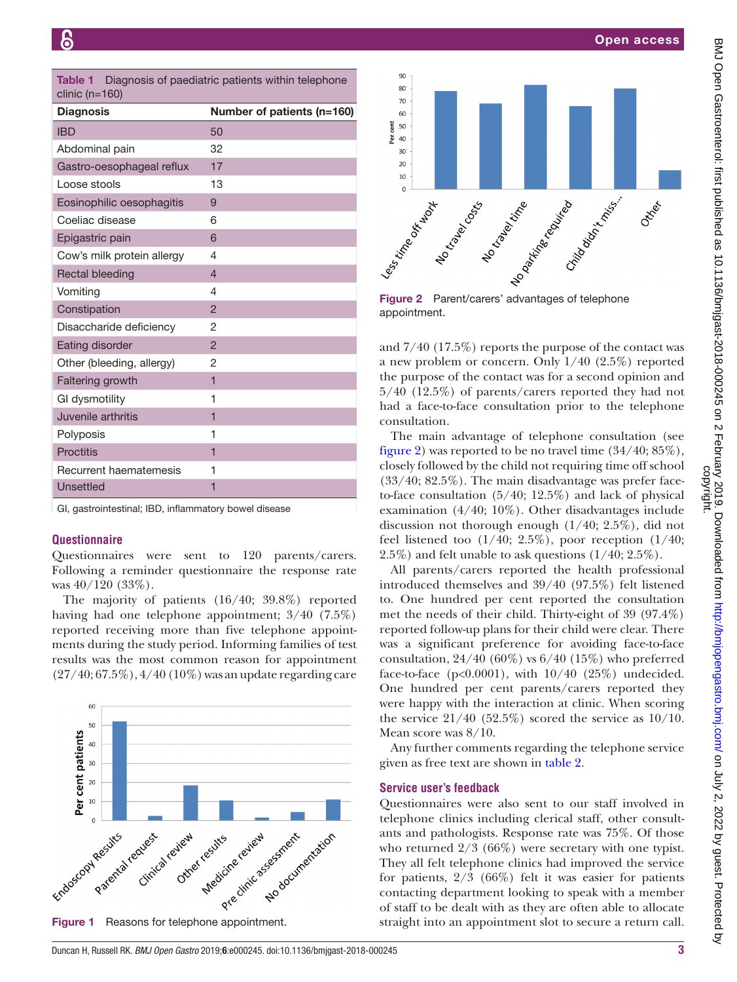<span id="page-2-0"></span>

|                  | <b>Table 1</b> Diagnosis of paediatric patients within telephone |
|------------------|------------------------------------------------------------------|
| clinic $(n=160)$ |                                                                  |

| –יין טוויווי               |                            |
|----------------------------|----------------------------|
| <b>Diagnosis</b>           | Number of patients (n=160) |
| <b>IBD</b>                 | 50                         |
| Abdominal pain             | 32                         |
| Gastro-oesophageal reflux  | 17                         |
| Loose stools               | 13                         |
| Eosinophilic oesophagitis  | 9                          |
| Coeliac disease            | 6                          |
| Epigastric pain            | 6                          |
| Cow's milk protein allergy | 4                          |
| <b>Rectal bleeding</b>     | $\overline{4}$             |
| Vomiting                   | 4                          |
| Constipation               | $\overline{2}$             |
| Disaccharide deficiency    | 2                          |
| Eating disorder            | $\overline{2}$             |
| Other (bleeding, allergy)  | 2                          |
| Faltering growth           | $\overline{1}$             |
| GI dysmotility             | 1                          |
| Juvenile arthritis         | 1                          |
| Polyposis                  | 1                          |
| <b>Proctitis</b>           | $\overline{1}$             |
| Recurrent haematemesis     | 1                          |
| Unsettled                  | 1                          |
|                            |                            |

GI, gastrointestinal; IBD, inflammatory bowel disease

#### **Questionnaire**

Questionnaires were sent to 120 parents/carers. Following a reminder questionnaire the response rate was 40/120 (33%).

The majority of patients (16/40; 39.8%) reported having had one telephone appointment; 3/40 (7.5%) reported receiving more than five telephone appointments during the study period. Informing families of test results was the most common reason for appointment (27/40; 67.5%), 4/40 (10%) was an update regarding care

<span id="page-2-1"></span>



Open access

<span id="page-2-2"></span>and 7/40 (17.5%) reports the purpose of the contact was a new problem or concern. Only 1/40 (2.5%) reported the purpose of the contact was for a second opinion and 5/40 (12.5%) of parents/carers reported they had not had a face-to-face consultation prior to the telephone consultation.

The main advantage of telephone consultation (see [figure](#page-2-2) 2) was reported to be no travel time (34/40; 85%), closely followed by the child not requiring time off school (33/40; 82.5%). The main disadvantage was prefer faceto-face consultation (5/40; 12.5%) and lack of physical examination (4/40; 10%). Other disadvantages include discussion not thorough enough  $(1/40; 2.5\%)$ , did not feel listened too  $(1/40; 2.5\%)$ , poor reception  $(1/40;$ 2.5%) and felt unable to ask questions  $(1/40; 2.5\%)$ .

All parents/carers reported the health professional introduced themselves and 39/40 (97.5%) felt listened to. One hundred per cent reported the consultation met the needs of their child. Thirty-eight of 39 (97.4%) reported follow-up plans for their child were clear. There was a significant preference for avoiding face-to-face consultation,  $24/40$  (60%) vs  $6/40$  (15%) who preferred face-to-face ( $p<0.0001$ ), with  $10/40$  ( $25\%$ ) undecided. One hundred per cent parents/carers reported they were happy with the interaction at clinic. When scoring the service  $21/40$  (52.5%) scored the service as  $10/10$ . Mean score was 8/10.

Any further comments regarding the telephone service given as free text are shown in [table](#page-3-0) 2.

#### **Service user's feedback**

Questionnaires were also sent to our staff involved in telephone clinics including clerical staff, other consultants and pathologists. Response rate was 75%. Of those who returned 2/3 (66%) were secretary with one typist. They all felt telephone clinics had improved the service for patients,  $2/3$  (66%) felt it was easier for patients contacting department looking to speak with a member of staff to be dealt with as they are often able to allocate straight into an appointment slot to secure a return call.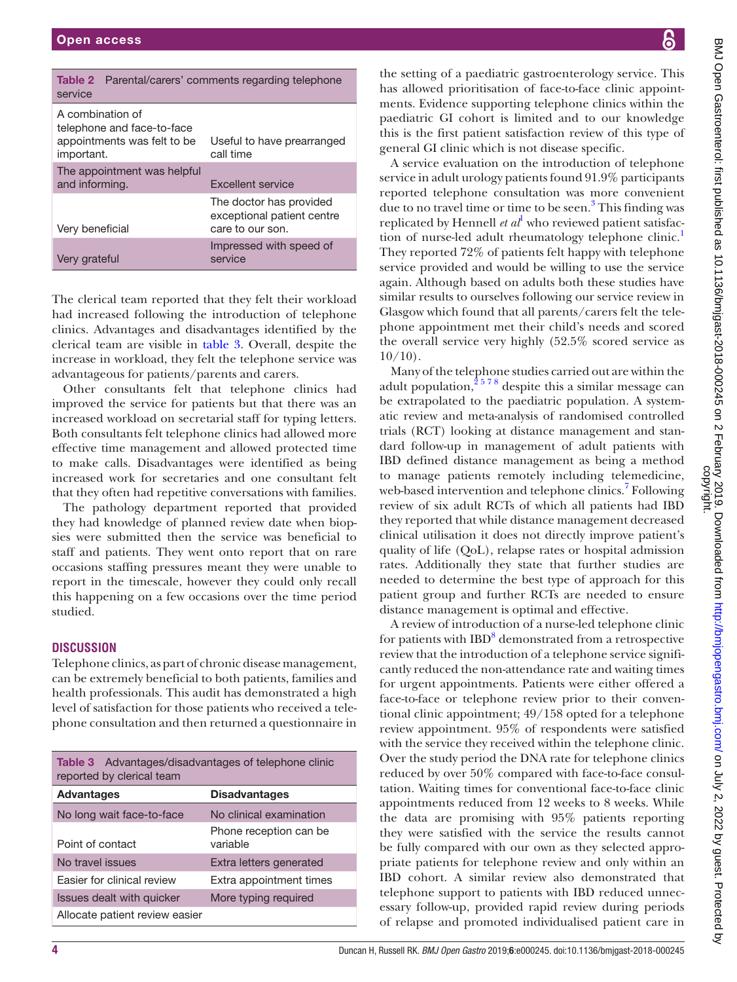<span id="page-3-0"></span>

| <b>Table 2</b> Parental/carers' comments regarding telephone<br>service                     |                                                                           |  |  |
|---------------------------------------------------------------------------------------------|---------------------------------------------------------------------------|--|--|
| A combination of<br>telephone and face-to-face<br>appointments was felt to be<br>important. | Useful to have prearranged<br>call time                                   |  |  |
| The appointment was helpful<br>and informing.                                               | <b>Excellent service</b>                                                  |  |  |
| Very beneficial                                                                             | The doctor has provided<br>exceptional patient centre<br>care to our son. |  |  |
| Very grateful                                                                               | Impressed with speed of<br>service                                        |  |  |

The clerical team reported that they felt their workload had increased following the introduction of telephone clinics. Advantages and disadvantages identified by the clerical team are visible in [table](#page-3-1) 3. Overall, despite the increase in workload, they felt the telephone service was advantageous for patients/parents and carers.

Other consultants felt that telephone clinics had improved the service for patients but that there was an increased workload on secretarial staff for typing letters. Both consultants felt telephone clinics had allowed more effective time management and allowed protected time to make calls. Disadvantages were identified as being increased work for secretaries and one consultant felt that they often had repetitive conversations with families.

The pathology department reported that provided they had knowledge of planned review date when biopsies were submitted then the service was beneficial to staff and patients. They went onto report that on rare occasions staffing pressures meant they were unable to report in the timescale, however they could only recall this happening on a few occasions over the time period studied.

# **Discussion**

Telephone clinics, as part of chronic disease management, can be extremely beneficial to both patients, families and health professionals. This audit has demonstrated a high level of satisfaction for those patients who received a telephone consultation and then returned a questionnaire in

<span id="page-3-1"></span>

| <b>Table 3</b> Advantages/disadvantages of telephone clinic<br>reported by clerical team |                                    |  |  |
|------------------------------------------------------------------------------------------|------------------------------------|--|--|
| <b>Advantages</b>                                                                        | <b>Disadvantages</b>               |  |  |
| No long wait face-to-face                                                                | No clinical examination            |  |  |
| Point of contact                                                                         | Phone reception can be<br>variable |  |  |
| No travel issues                                                                         | Extra letters generated            |  |  |
| <b>Fasier for clinical review</b>                                                        | Extra appointment times            |  |  |
| Issues dealt with quicker                                                                | More typing required               |  |  |
| Allocate patient review easier                                                           |                                    |  |  |

the setting of a paediatric gastroenterology service. This has allowed prioritisation of face-to-face clinic appointments. Evidence supporting telephone clinics within the paediatric GI cohort is limited and to our knowledge this is the first patient satisfaction review of this type of general GI clinic which is not disease specific.

A service evaluation on the introduction of telephone service in adult urology patients found 91.9% participants reported telephone consultation was more convenient due to no travel time or time to be seen.<sup>[3](#page-4-2)</sup> This finding was replicated by Hennell *et al*<sup>[1](#page-4-0)</sup> who reviewed patient satisfac-tion of nurse-led adult rheumatology telephone clinic.<sup>[1](#page-4-0)</sup> They reported 72% of patients felt happy with telephone service provided and would be willing to use the service again. Although based on adults both these studies have similar results to ourselves following our service review in Glasgow which found that all parents/carers felt the telephone appointment met their child's needs and scored the overall service very highly (52.5% scored service as  $10/10$ ).

Many of the telephone studies carried out are within the adult population,  $2^{578}$  despite this a similar message can be extrapolated to the paediatric population. A systematic review and meta-analysis of randomised controlled trials (RCT) looking at distance management and standard follow-up in management of adult patients with IBD defined distance management as being a method to manage patients remotely including telemedicine, web-based intervention and telephone clinics.<sup>[7](#page-4-3)</sup> Following review of six adult RCTs of which all patients had IBD they reported that while distance management decreased clinical utilisation it does not directly improve patient's quality of life (QoL), relapse rates or hospital admission rates. Additionally they state that further studies are needed to determine the best type of approach for this patient group and further RCTs are needed to ensure distance management is optimal and effective.

A review of introduction of a nurse-led telephone clinic for patients with IBD<sup>8</sup> demonstrated from a retrospective review that the introduction of a telephone service significantly reduced the non-attendance rate and waiting times for urgent appointments. Patients were either offered a face-to-face or telephone review prior to their conventional clinic appointment; 49/158 opted for a telephone review appointment. 95% of respondents were satisfied with the service they received within the telephone clinic. Over the study period the DNA rate for telephone clinics reduced by over 50% compared with face-to-face consultation. Waiting times for conventional face-to-face clinic appointments reduced from 12 weeks to 8 weeks. While the data are promising with 95% patients reporting they were satisfied with the service the results cannot be fully compared with our own as they selected appropriate patients for telephone review and only within an IBD cohort. A similar review also demonstrated that telephone support to patients with IBD reduced unnecessary follow-up, provided rapid review during periods of relapse and promoted individualised patient care in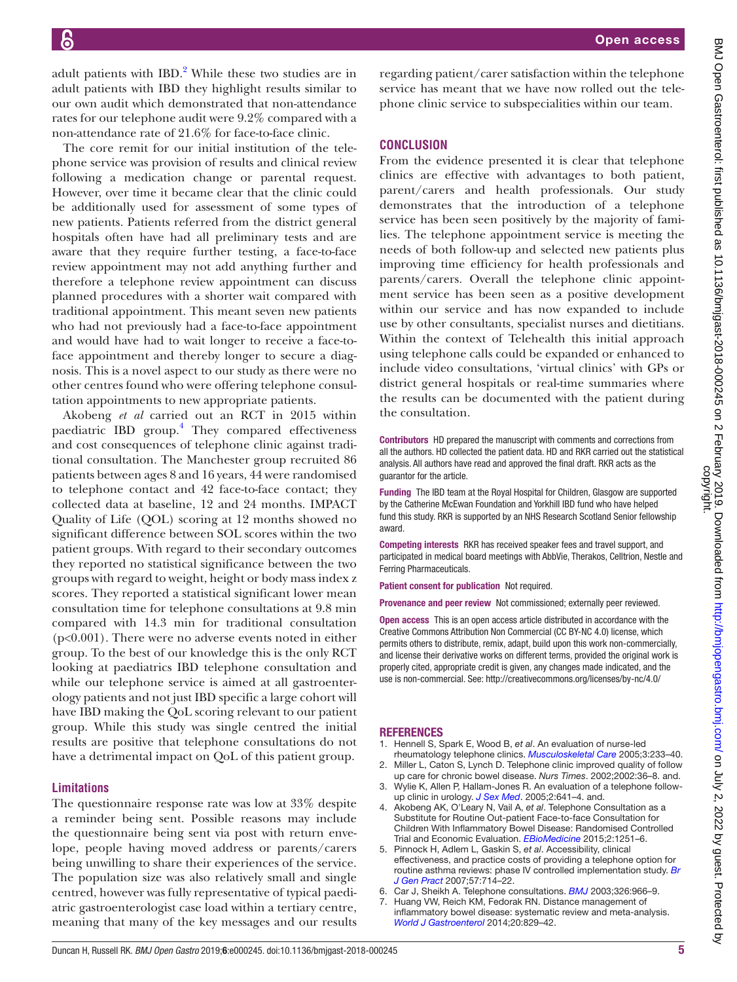adult patients with IBD.<sup>[2](#page-4-1)</sup> While these two studies are in adult patients with IBD they highlight results similar to our own audit which demonstrated that non-attendance rates for our telephone audit were 9.2% compared with a non-attendance rate of 21.6% for face-to-face clinic.

The core remit for our initial institution of the telephone service was provision of results and clinical review following a medication change or parental request. However, over time it became clear that the clinic could be additionally used for assessment of some types of new patients. Patients referred from the district general hospitals often have had all preliminary tests and are aware that they require further testing, a face-to-face review appointment may not add anything further and therefore a telephone review appointment can discuss planned procedures with a shorter wait compared with traditional appointment. This meant seven new patients who had not previously had a face-to-face appointment and would have had to wait longer to receive a face-toface appointment and thereby longer to secure a diagnosis. This is a novel aspect to our study as there were no other centres found who were offering telephone consultation appointments to new appropriate patients.

Akobeng *et al* carried out an RCT in 2015 within paediatric IBD group.<sup>4</sup> They compared effectiveness and cost consequences of telephone clinic against traditional consultation. The Manchester group recruited 86 patients between ages 8 and 16 years, 44 were randomised to telephone contact and 42 face-to-face contact; they collected data at baseline, 12 and 24 months. IMPACT Quality of Life (QOL) scoring at 12 months showed no significant difference between SOL scores within the two patient groups. With regard to their secondary outcomes they reported no statistical significance between the two groups with regard to weight, height or body mass index z scores. They reported a statistical significant lower mean consultation time for telephone consultations at 9.8 min compared with 14.3 min for traditional consultation (p<0.001). There were no adverse events noted in either group. To the best of our knowledge this is the only RCT looking at paediatrics IBD telephone consultation and while our telephone service is aimed at all gastroenterology patients and not just IBD specific a large cohort will have IBD making the QoL scoring relevant to our patient group. While this study was single centred the initial results are positive that telephone consultations do not have a detrimental impact on QoL of this patient group.

# **Limitations**

The questionnaire response rate was low at 33% despite a reminder being sent. Possible reasons may include the questionnaire being sent via post with return envelope, people having moved address or parents/carers being unwilling to share their experiences of the service. The population size was also relatively small and single centred, however was fully representative of typical paediatric gastroenterologist case load within a tertiary centre, meaning that many of the key messages and our results

regarding patient/carer satisfaction within the telephone service has meant that we have now rolled out the telephone clinic service to subspecialities within our team. **Conclusion** From the evidence presented it is clear that telephone clinics are effective with advantages to both patient, parent/carers and health professionals. Our study demonstrates that the introduction of a telephone service has been seen positively by the majority of families. The telephone appointment service is meeting the needs of both follow-up and selected new patients plus improving time efficiency for health professionals and parents/carers. Overall the telephone clinic appointment service has been seen as a positive development within our service and has now expanded to include use by other consultants, specialist nurses and dietitians. Within the context of Telehealth this initial approach using telephone calls could be expanded or enhanced to include video consultations, 'virtual clinics' with GPs or district general hospitals or real-time summaries where the results can be documented with the patient during the consultation.

Contributors HD prepared the manuscript with comments and corrections from all the authors. HD collected the patient data. HD and RKR carried out the statistical analysis. All authors have read and approved the final draft. RKR acts as the guarantor for the article.

Funding The IBD team at the Royal Hospital for Children, Glasgow are supported by the Catherine McEwan Foundation and Yorkhill IBD fund who have helped fund this study. RKR is supported by an NHS Research Scotland Senior fellowship award.

Competing interests RKR has received speaker fees and travel support, and participated in medical board meetings with AbbVie, Therakos, Celltrion, Nestle and Ferring Pharmaceuticals.

Patient consent for publication Not required.

Provenance and peer review Not commissioned; externally peer reviewed.

Open access This is an open access article distributed in accordance with the Creative Commons Attribution Non Commercial (CC BY-NC 4.0) license, which permits others to distribute, remix, adapt, build upon this work non-commercially, and license their derivative works on different terms, provided the original work is properly cited, appropriate credit is given, any changes made indicated, and the use is non-commercial. See: <http://creativecommons.org/licenses/by-nc/4.0/>

#### **REFERENCES**

- <span id="page-4-0"></span>1. Hennell S, Spark E, Wood B, *et al*. An evaluation of nurse-led rheumatology telephone clinics. *[Musculoskeletal Care](http://dx.doi.org/10.1002/msc.13)* 2005;3:233–40.
- <span id="page-4-1"></span>2. Miller L, Caton S, Lynch D. Telephone clinic improved quality of follow up care for chronic bowel disease. *Nurs Times*. 2002;2002:36–8. and.
- <span id="page-4-2"></span>3. Wylie K, Allen P, Hallam-Jones R. An evaluation of a telephone followup clinic in urology. *[J Sex Med](http://dx.doi.org/10.1111/j.1743-6109.2005.00109.x)*. 2005;2:641–4. and.
- <span id="page-4-4"></span>4. Akobeng AK, O'Leary N, Vail A, *et al*. Telephone Consultation as a Substitute for Routine Out-patient Face-to-face Consultation for Children With Inflammatory Bowel Disease: Randomised Controlled Trial and Economic Evaluation. *[EBioMedicine](http://dx.doi.org/10.1016/j.ebiom.2015.08.011)* 2015;2:1251–6.
- 5. Pinnock H, Adlem L, Gaskin S, *et al*. Accessibility, clinical effectiveness, and practice costs of providing a telephone option for routine asthma reviews: phase IV controlled implementation study. *[Br](http://www.ncbi.nlm.nih.gov/pubmed/17761059)  [J Gen Pract](http://www.ncbi.nlm.nih.gov/pubmed/17761059)* 2007;57:714–22.
- 6. Car J, Sheikh A. Telephone consultations. *[BMJ](http://dx.doi.org/10.1136/bmj.326.7396.966)* 2003;326:966–9.
- <span id="page-4-3"></span>7. Huang VW, Reich KM, Fedorak RN. Distance management of inflammatory bowel disease: systematic review and meta-analysis. *[World J Gastroenterol](http://dx.doi.org/10.3748/wjg.v20.i3.829)* 2014;20:829–42.